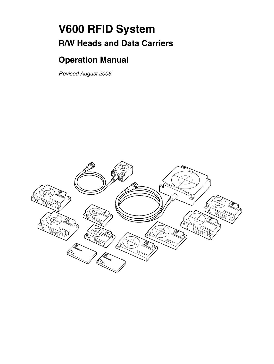# **V600 RFID System R/W Heads and Data Carriers**

# **Operation Manual**

*Revised August 2006*

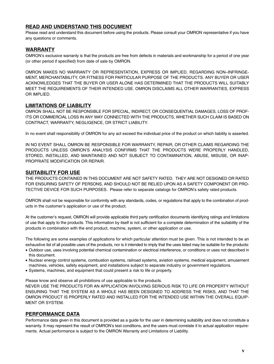### **READ AND UNDERSTAND THIS DOCUMENT**

Please read and understand this document before using the products. Please consult your OMRON representative if you have any questions or comments.

### **WARRANTY**

OMRON's exclusive warranty is that the products are free from defects in materials and workmanship for a period of one year (or other period if specified) from date of sale by OMRON.

OMRON MAKES NO WARRANTY OR REPRESENTATION, EXPRESS OR IMPLIED, REGARDING NON–INFRINGE-MENT, MERCHANTABILITY, OR FITNESS FOR PARTICULAR PURPOSE OF THE PRODUCTS. ANY BUYER OR USER ACKNOWLEDGES THAT THE BUYER OR USER ALONE HAS DETERMINED THAT THE PRODUCTS WILL SUITABLY MEET THE REQUIREMENTS OF THEIR INTENDED USE. OMRON DISCLAIMS ALL OTHER WARRANTIES, EXPRESS OR IMPLIED.

#### **LIMITATIONS OF LIABILITY**

OMRON SHALL NOT BE RESPONSIBLE FOR SPECIAL, INDIRECT, OR CONSEQUENTIAL DAMAGES, LOSS OF PROF-ITS OR COMMERCIAL LOSS IN ANY WAY CONNECTED WITH THE PRODUCTS, WHETHER SUCH CLAIM IS BASED ON CONTRACT, WARRANTY, NEGLIGENCE, OR STRICT LIABILITY.

In no event shall responsibility of OMRON for any act exceed the individual price of the product on which liability is asserted.

IN NO EVENT SHALL OMRON BE RESPONSIBLE FOR WARRANTY, REPAIR, OR OTHER CLAIMS REGARDING THE PRODUCTS UNLESS OMRON'S ANALYSIS CONFIRMS THAT THE PRODUCTS WERE PROPERLY HANDLED, STORED, INSTALLED, AND MAINTAINED AND NOT SUBJECT TO CONTAMINATION, ABUSE, MISUSE, OR INAP-PROPRIATE MODIFICATION OR REPAIR.

### **SUITABILITY FOR USE**

THE PRODUCTS CONTAINED IN THIS DOCUMENT ARE NOT SAFETY RATED. THEY ARE NOT DESIGNED OR RATED FOR ENSURING SAFETY OF PERSONS, AND SHOULD NOT BE RELIED UPON AS A SAFETY COMPONENT OR PRO-TECTIVE DEVICE FOR SUCH PURPOSES. Please refer to separate catalogs for OMRON's safety rated products.

OMRON shall not be responsible for conformity with any standards, codes, or regulations that apply to the combination of products in the customer's application or use of the product.

At the customer's request, OMRON will provide applicable third party certification documents identifying ratings and limitations of use that apply to the products. This information by itself is not sufficient for a complete determination of the suitability of the products in combination with the end product, machine, system, or other application or use.

The following are some examples of applications for which particular attention must be given. This is not intended to be an exhaustive list of all possible uses of the products, nor is it intended to imply that the uses listed may be suitable for the products:

- Outdoor use, uses involving potential chemical contamination or electrical interference, or conditions or uses not described in this document.
- Nuclear energy control systems, combustion systems, railroad systems, aviation systems, medical equipment, amusement machines, vehicles, safety equipment, and installations subject to separate industry or government regulations.
- Systems, machines, and equipment that could present a risk to life or property.

Please know and observe all prohibitions of use applicable to the products.

NEVER USE THE PRODUCTS FOR AN APPLICATION INVOLVING SERIOUS RISK TO LIFE OR PROPERTY WITHOUT ENSURING THAT THE SYSTEM AS A WHOLE HAS BEEN DESIGNED TO ADDRESS THE RISKS, AND THAT THE OMRON PRODUCT IS PROPERLY RATED AND INSTALLED FOR THE INTENDED USE WITHIN THE OVERALL EQUIP-MENT OR SYSTEM.

#### **PERFORMANCE DATA**

Performance data given in this document is provided as a guide for the user in determining suitability and does not constitute a warranty. It may represent the result of OMRON's test conditions, and the users must correlate it to actual application requirements. Actual performance is subject to the OMRON Warranty and Limitations of Liability.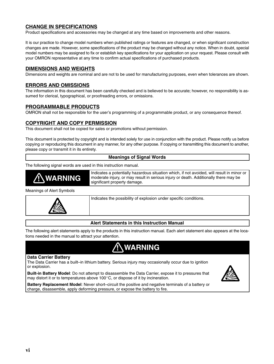### **CHANGE IN SPECIFICATIONS**

Product specifications and accessories may be changed at any time based on improvements and other reasons.

It is our practice to change model numbers when published ratings or features are changed, or when significant construction changes are made. However, some specifications of the product may be changed without any notice. When in doubt, special model numbers may be assigned to fix or establish key specifications for your application on your request. Please consult with your OMRON representative at any time to confirm actual specifications of purchased products.

#### **DIMENSIONS AND WEIGHTS**

Dimensions and weights are nominal and are not to be used for manufacturing purposes, even when tolerances are shown.

#### **ERRORS AND OMISSIONS**

The information in this document has been carefully checked and is believed to be accurate; however, no responsibility is assumed for clerical, typographical, or proofreading errors, or omissions.

#### **PROGRAMMABLE PRODUCTS**

OMRON shall not be responsible for the user's programming of a programmable product, or any consequence thereof.

#### **COPYRIGHT AND COPY PERMISSION**

This document shall not be copied for sales or promotions without permission.

This document is protected by copyright and is intended solely for use in conjunction with the product. Please notify us before copying or reproducing this document in any manner, for any other purpose. If copying or transmitting this document to another, please copy or transmit it in its entirety.

#### **Meanings of Signal Words**

The following signal words are used in this instruction manual.



Meanings of Alert Symbols



Indicates the possibility of explosion under specific conditions.

#### **Alert Statements in this Instruction Manual**

The following alert statements apply to the products in this instruction manual. Each alert statement also appears at the locations needed in the manual to attract your attention.

**! WARNING**

#### **Data Carrier Battery**

The Data Carrier has a built–in lithium battery. Serious injury may occasionally occur due to ignition or explosion.

**Built-in Battery Model**: Do not attempt to disassemble the Data Carrier, expose it to pressures that may distort it or to temperatures above  $100^{\circ}$ C, or dispose of it by incineration.



**Battery Replacement Model**: Never short–circuit the positive and negative terminals of a battery or charge, disassemble, apply deforming pressure, or expose the battery to fire.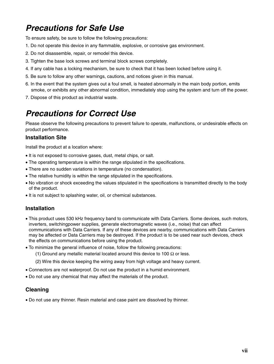# *Precautions for Safe Use*

To ensure safety, be sure to follow the following precautions:

- 1. Do not operate this device in any flammable, explosive, or corrosive gas environment.
- 2. Do not disassemble, repair, or remodel this device.
- 3. Tighten the base lock screws and terminal block screws completely.
- 4. If any cable has a locking mechanism, be sure to check that it has been locked before using it.
- 5. Be sure to follow any other warnings, cautions, and notices given in this manual.
- 6. In the event that the system gives out a foul smell, is heated abnormally in the main body portion, emits smoke, or exhibits any other abnormal condition, immediately stop using the system and turn off the power.
- 7. Dispose of this product as industrial waste.

# *Precautions for Correct Use*

Please observe the following precautions to prevent failure to operate, malfunctions, or undesirable effects on product performance.

### **Installation Site**

Install the product at a location where:

- It is not exposed to corrosive gases, dust, metal chips, or salt.
- The operating temperature is within the range stipulated in the specifications.
- There are no sudden variations in temperature (no condensation).
- The relative humidity is within the range stipulated in the specifications.
- No vibration or shock exceeding the values stipulated in the specifications is transmitted directly to the body of the product.
- It is not subject to splashing water, oil, or chemical substances.

### **Installation**

- This product uses 530 kHz frequency band to communicate with Data Carriers. Some devices, such motors, inverters, switchingpower supplies, generate electromagnetic waves (i.e., noise) that can affect communications with Data Carriers. If any of these devices are nearby, communications with Data Carriers may be affected or Data Carriers may be destroyed. If the product is to be used near such devices, check the effects on communications before using the product.
- To minimize the general influence of noise, follow the following precautions:
	- (1) Ground any metallic material located around this device to 100  $\Omega$  or less.
	- (2) Wire this device keeping the wiring away from high voltage and heavy current.
- Connectors are not waterproof. Do not use the product in a humid environment.
- Do not use any chemical that may affect the materials of the product.

### **Cleaning**

• Do not use any thinner. Resin material and case paint are dissolved by thinner.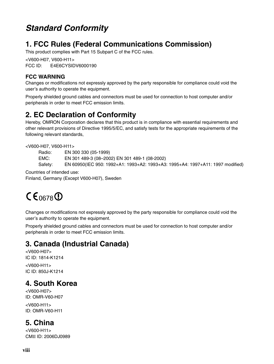# *Standard Conformity*

# **1. FCC Rules (Federal Communications Commission)**

This product complies with Part 15 Subpart C of the FCC rules.

<V600-H07, V600-H11> FCC ID: E4E6CYSIDV6000190

### **FCC WARNING**

Changes or modifications not expressly approved by the party responsible for compliance could void the user's authority to operate the equipment.

Properly shielded ground cables and connectors must be used for connection to host computer and/or peripherals in order to meet FCC emission limits.

### **2. EC Declaration of Conformity**

Hereby, OMRON Corporation declares that this product is in compliance with essential requirements and other relevant provisions of Directive 1995/5/EC, and satisfy tests for the appropriate requirements of the following relevant standards,

<V600-H07, V600-H11>

Radio: EN 300 330 (05-1999)

EMC: EN 301 489-3 (08–2002) EN 301 489-1 (08-2002)

Safety: EN 60950(IEC 950: 1992+A1: 1993+A2: 1993+A3: 1995+A4: 1997+A11: 1997 modified)

Countries of intended use:

Finland, Germany (Except V600-H07), Sweden

# $CE_{0678}$

Changes or modifications not expressly approved by the party responsible for compliance could void the user's authority to operate the equipment.

Properly shielded ground cables and connectors must be used for connection to host computer and/or peripherals in order to meet FCC emission limits.

## **3. Canada (Industrial Canada)**

<V600-H07> IC ID: 1814-K1214

<V600-H11> IC ID: 850J-K1214

# **4. South Korea**

<V600-H07> ID: OMR-V60-H07 <V600-H11> ID: OMR-V60-H11

### **5. China**

<V600-H11> CMII ID: 2006DJ0989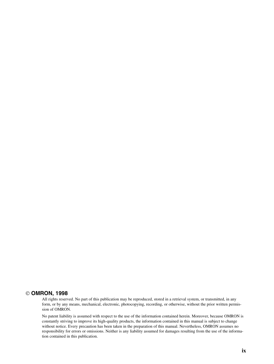### **OMRON, 1998**

All rights reserved. No part of this publication may be reproduced, stored in a retrieval system, or transmitted, in any form, or by any means, mechanical, electronic, photocopying, recording, or otherwise, without the prior written permission of OMRON.

No patent liability is assumed with respect to the use of the information contained herein. Moreover, because OMRON is constantly striving to improve its high-quality products, the information contained in this manual is subject to change without notice. Every precaution has been taken in the preparation of this manual. Nevertheless, OMRON assumes no responsibility for errors or omissions. Neither is any liability assumed for damages resulting from the use of the information contained in this publication.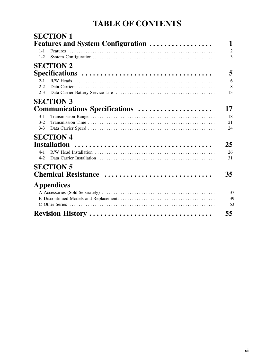# **TABLE OF CONTENTS**

|         | <b>SECTION 1</b>                          |                |
|---------|-------------------------------------------|----------------|
|         | <b>Features and System Configuration </b> | 1              |
| $1 - 1$ |                                           | $\overline{2}$ |
| $1 - 2$ |                                           | 3              |
|         | <b>SECTION 2</b>                          |                |
|         |                                           | 5              |
| $2 - 1$ |                                           | 6              |
| $2 - 2$ |                                           | 8              |
| $2 - 3$ |                                           | 13             |
|         | <b>SECTION 3</b>                          |                |
|         | Communications Specifications             | 17             |
| $3-1$   |                                           | 18             |
| $3-2$   |                                           | 21             |
| $3-3$   |                                           | 24             |
|         | <b>SECTION 4</b>                          |                |
|         | <b>Installation</b>                       | 25             |
| 4-1     |                                           | 26             |
| $4 - 2$ |                                           | 31             |
|         | <b>SECTION 5</b>                          |                |
|         | Chemical Resistance                       | 35             |
|         | <b>Appendices</b>                         |                |
|         |                                           | 37             |
|         |                                           | 39             |
|         |                                           | 53             |
|         | Revision History                          | 55             |
|         |                                           |                |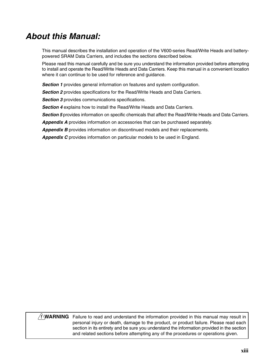# *About this Manual:*

This manual describes the installation and operation of the V600-series Read/Write Heads and batterypowered SRAM Data Carriers, and includes the sections described below.

Please read this manual carefully and be sure you understand the information provided before attempting to install and operate the Read/Write Heads and Data Carriers. Keep this manual in a convenient location where it can continue to be used for reference and guidance.

*Section 1* provides general information on features and system configuration.

**Section 2** provides specifications for the Read/Write Heads and Data Carriers.

**Section 3** provides communications specifications.

**Section 4** explains how to install the Read/Write Heads and Data Carriers.

**Section 5** provides information on specific chemicals that affect the Read/Write Heads and Data Carriers.

*Appendix A* provides information on accessories that can be purchased separately.

**Appendix B** provides information on discontinued models and their replacements.

*Appendix C* provides information on particular models to be used in England.

**WARNING** Failure to read and understand the information provided in this manual may result in **!**personal injury or death, damage to the product, or product failure. Please read each section in its entirety and be sure you understand the information provided in the section and related sections before attempting any of the procedures or operations given.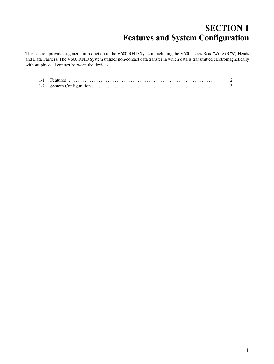# **SECTION 1 Features and System Configuration**

This section provides a general introduction to the V600 RFID System, including the V600-series Read/Write (R/W) Heads and Data Carriers. The V600 RFID System utilizes non-contact data transfer in which data is transmitted electromagnetically without physical contact between the devices.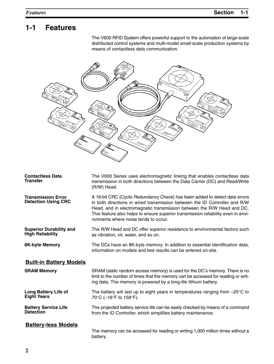# **1-1 Features**

The V600 RFID System offers powerful support to the automation of large-scale distributed control systems and multi-model small-scale production systems by means of contactless data communication.



| <b>Contactless Data</b><br><b>Transfer</b>                | The V600 Series uses electromagnetic linking that enables contactless data<br>transmission in both directions between the Data Carrier (DC) and Read/Write<br>(R/W) Head.                                                                                                                                                                                        |
|-----------------------------------------------------------|------------------------------------------------------------------------------------------------------------------------------------------------------------------------------------------------------------------------------------------------------------------------------------------------------------------------------------------------------------------|
| <b>Transmission Error</b><br><b>Detection Using CRC</b>   | A 16-bit CRC (Cyclic Redundancy Check) has been added to detect data errors<br>in both directions in wired transmission between the ID Controller and R/W<br>Head, and in electromagnetic transmission between the R/W Head and DC.<br>This feature also helps to ensure superior transmission reliability even in envi-<br>ronments where noise tends to occur. |
| <b>Superior Durability and</b><br><b>High Reliability</b> | The R/W Head and DC offer superior resistance to environmental factors such<br>as vibration, oil, water, and so on.                                                                                                                                                                                                                                              |
| <b>8K-byte Memory</b>                                     | The DCs have an 8K-byte memory. In addition to essential identification data,<br>information on models and test results can be entered on-site.                                                                                                                                                                                                                  |
| <b>Built-in Battery Models</b>                            |                                                                                                                                                                                                                                                                                                                                                                  |
| <b>SRAM Memory</b>                                        | SRAM (static random access memory) is used for the DC's memory. There is no<br>limit to the number of times that the memory can be accessed for reading or writ-<br>ing data. The memory is powered by a long-life lithium battery.                                                                                                                              |
| <b>Long Battery Life of</b><br><b>Eight Years</b>         | The battery will last up to eight years in temperatures ranging from $-25^{\circ}$ C to<br>70°C (-18°F to 158°F).                                                                                                                                                                                                                                                |
| <b>Battery Service Life</b><br><b>Detection</b>           | The projected battery service life can be easily checked by means of a command<br>from the ID Controller, which simplifies battery maintenance.                                                                                                                                                                                                                  |
| <b>Battery-less Models</b>                                | The memory can be accessed for reading or writing 1,000 million times without a<br>battery.                                                                                                                                                                                                                                                                      |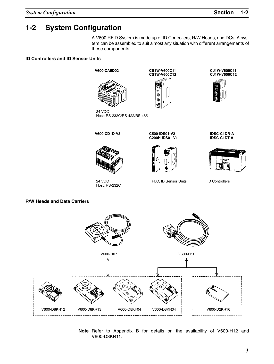## **1-2 System Configuration**

A V600 RFID System is made up of ID Controllers, R/W Heads, and DCs. A system can be assembled to suit almost any situation with different arrangements of these components.

#### **ID Controllers and ID Sensor Units**

**V600-CA5D02**





**CS1W-V600C11**

**CJ1W-V600C11 CJ1W-V600C12**





24 VDC Host: RS-232C/RS-422/RS-485



24 VDC Host: RS-232C

**V600-CD1D-V3 C500-IDS01-V2 C200H-IDS01-V1**



PLC, ID Sensor Units ID Controllers

**IDSC-C1DR-A IDSC-C1DT-A**



**R/W Heads and Data Carriers**



**Note** Refer to Appendix B for details on the availability of V600-H12 and V600-D8KR11.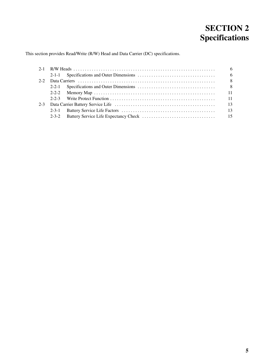# **SECTION 2 Specifications**

This section provides Read/Write (R/W) Head and Data Carrier (DC) specifications.

|             |  | - 6 |
|-------------|--|-----|
|             |  |     |
|             |  |     |
|             |  |     |
|             |  |     |
|             |  |     |
|             |  |     |
|             |  |     |
| $2 - 3 - 2$ |  |     |
|             |  |     |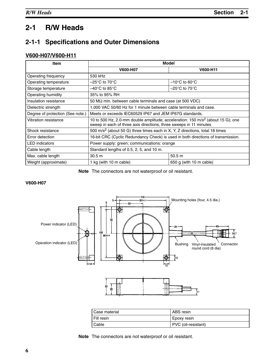## **2-1 R/W Heads**

### **2-1-1 Specifications and Outer Dimensions**

### **V600-H07/V600-H11**

| <b>Item</b>                                                               | Model                                                                                                                                                             |                                    |  |
|---------------------------------------------------------------------------|-------------------------------------------------------------------------------------------------------------------------------------------------------------------|------------------------------------|--|
|                                                                           | V600-H07                                                                                                                                                          | V600-H11                           |  |
| Operating frequency                                                       | 530 kHz                                                                                                                                                           |                                    |  |
| Operating temperature                                                     | $-25^{\circ}$ C to 70 $^{\circ}$ C                                                                                                                                | $-10^{\circ}$ C to 60 $^{\circ}$ C |  |
| Storage temperature                                                       | –40°C to 85°C.                                                                                                                                                    | $-25^{\circ}$ C to 75 $^{\circ}$ C |  |
| Operating humidity                                                        | 35% to 95% RH                                                                                                                                                     |                                    |  |
| Insulation resistance                                                     | 50 M $\Omega$ min. between cable terminals and case (at 500 VDC)                                                                                                  |                                    |  |
| Dielectric strength                                                       | 1,000 VAC 50/60 Hz for 1 minute between cable terminals and case.                                                                                                 |                                    |  |
| Degree of protection (See note.)                                          | Meets or exceeds IEC60529 IP67 and JEM IP67G standards.                                                                                                           |                                    |  |
| Vibration resistance                                                      | 10 to 500 Hz, 2.0-mm double amplitude; acceleration: 150 m/s <sup>2</sup> (about 15 G); one<br>sweep in each of three axis directions, three sweeps in 11 minutes |                                    |  |
| Shock resistance                                                          | 500 m/s <sup>2</sup> (about 50 G) three times each in X, Y, Z directions, total 18 times                                                                          |                                    |  |
| Error detection                                                           | 16-bit CRC (Cyclic Redundancy Check) is used in both directions of transmission.                                                                                  |                                    |  |
| <b>LED</b> indicators                                                     | Power supply: green; communications: orange                                                                                                                       |                                    |  |
| Cable length                                                              | Standard lengths of 0.5, 2, 5, and 10 m.                                                                                                                          |                                    |  |
| Max. cable length                                                         | 50.5 <sub>m</sub><br>30.5 <sub>m</sub>                                                                                                                            |                                    |  |
| Weight (approximate)<br>1 kg (with 10 m cable)<br>650 g (with 10 m cable) |                                                                                                                                                                   |                                    |  |

**Note** The connectors are not waterproof or oil resistant.

#### **V600-H07**



| Case material | ABS resin           |
|---------------|---------------------|
| I Fill resin  | Epoxy resin         |
| <b>Cable</b>  | PVC (oil-resistant) |

**Note** The connectors are not waterproof or oil resistant.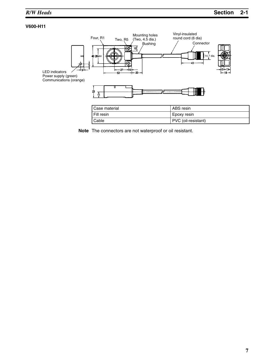### **V600-H11**



| Cable | PVC (oil-resistant) |
|-------|---------------------|
|       |                     |

**Note** The connectors are not waterproof or oil resistant.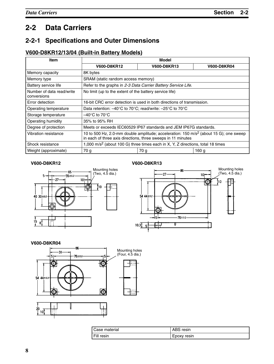### **2-2 Data Carriers**

### **2-2-1 Specifications and Outer Dimensions**

### **V600-D8KR12/13/04 (Built-in Battery Models)**

| Item                                     | Model                                                                                                                                                            |                                                                   |                    |
|------------------------------------------|------------------------------------------------------------------------------------------------------------------------------------------------------------------|-------------------------------------------------------------------|--------------------|
|                                          | <b>V600-D8KR12</b>                                                                                                                                               | <b>V600-D8KR13</b>                                                | <b>V600-D8KR04</b> |
| Memory capacity                          | 8K bytes                                                                                                                                                         |                                                                   |                    |
| Memory type                              | SRAM (static random access memory)                                                                                                                               |                                                                   |                    |
| Battery service life                     |                                                                                                                                                                  | Refer to the graphs in 2-3 Data Carrier Battery Service Life.     |                    |
| Number of data read/write<br>conversions | No limit (up to the extent of the battery service life)                                                                                                          |                                                                   |                    |
| Error detection                          | 16-bit CRC error detection is used in both directions of transmission.                                                                                           |                                                                   |                    |
| Operating temperature                    | Data retention: $-40^{\circ}$ C to 70 $^{\circ}$ C; read/write: $-25^{\circ}$ C to 70 $^{\circ}$ C                                                               |                                                                   |                    |
| Storage temperature                      | –40°C to 70°C                                                                                                                                                    |                                                                   |                    |
| Operating humidity                       | 35% to 95% RH                                                                                                                                                    |                                                                   |                    |
| Degree of protection                     |                                                                                                                                                                  | Meets or exceeds IEC60529 IP67 standards and JEM IP67G standards. |                    |
| Vibration resistance                     | 10 to 500 Hz, 2.0-mm double amplitude; acceleration: $150 \text{ m/s}^2$ (about 15 G); one sweep<br>in each of three axis directions, three sweeps in 11 minutes |                                                                   |                    |
| Shock resistance                         | 1,000 m/s <sup>2</sup> (about 100 G) three times each in X, Y, Z directions, total 18 times                                                                      |                                                                   |                    |
| Weight (approximate)                     | 70 g                                                                                                                                                             | 70 g                                                              | 160 <sub>g</sub>   |

### **V600-D8KR12 V600-D8KR13**





#### **V600-D8KR04**



| I Case material | ABS resin   |
|-----------------|-------------|
| I Fill resin    | Epoxy resin |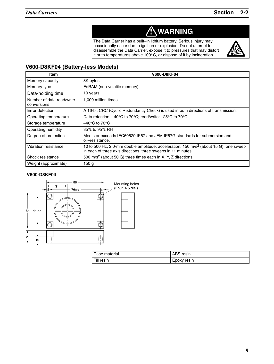# **! WARNING**

The Data Carrier has a built–in lithium battery. Serious injury may occasionally occur due to ignition or explosion. Do not attempt to disassemble the Data Carrier, expose it to pressures that may distort it or to temperatures above 100 $^{\circ}$ C, or dispose of it by incineration.



### **V600-D8KF04 (Battery-less Models)**

| <b>Item</b>                              | <b>V600-D8KF04</b>                                                                                                                                               |
|------------------------------------------|------------------------------------------------------------------------------------------------------------------------------------------------------------------|
| Memory capacity                          | 8K bytes                                                                                                                                                         |
| Memory type                              | FeRAM (non-volatile memory)                                                                                                                                      |
| Data-holding time                        | 10 years                                                                                                                                                         |
| Number of data read/write<br>conversions | 1,000 million times                                                                                                                                              |
| Error detection                          | A 16-bit CRC (Cyclic Redundancy Check) is used in both directions of transmission.                                                                               |
| Operating temperature                    | Data retention: -40°C to 70°C; read/write: -25°C to 70°C                                                                                                         |
| Storage temperature                      | $-40^{\circ}$ C to 70 $^{\circ}$ C                                                                                                                               |
| Operating humidity                       | 35% to 95% RH                                                                                                                                                    |
| Degree of protection                     | Meets or exceeds IEC60529 IP67 and JEM IP67G standards for submersion and<br>oil-resistance.                                                                     |
| Vibration resistance                     | 10 to 500 Hz, 2.0-mm double amplitude; acceleration: $150 \text{ m/s}^2$ (about 15 G); one sweep<br>in each of three axis directions, three sweeps in 11 minutes |
| Shock resistance                         | 500 m/s <sup>2</sup> (about 50 G) three times each in X, Y, Z directions                                                                                         |
| Weight (approximate)                     | 150 <sub>q</sub>                                                                                                                                                 |

#### **V600-D8KF04**



| Case material | ABS resin   |
|---------------|-------------|
| Fill resin    | Epoxy resin |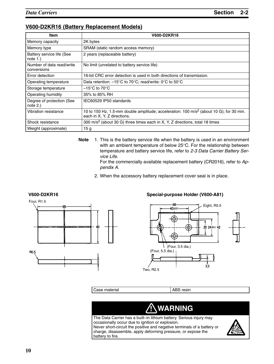### **V600-D2KR16 (Battery Replacement Models)**

| <b>Item</b>                              | <b>V600-D2KR16</b>                                                                                                                 |
|------------------------------------------|------------------------------------------------------------------------------------------------------------------------------------|
| Memory capacity                          | 2K bytes                                                                                                                           |
| Memory type                              | SRAM (static random access memory)                                                                                                 |
| Battery service life (See<br>note $1.$ ) | 2 years (replaceable battery)                                                                                                      |
| Number of data read/write<br>conversions | No limit (unrelated to battery service life)                                                                                       |
| Error detection                          | 16-bit CRC error detection is used in both directions of transmission.                                                             |
| Operating temperature                    | Data retention: $-15^{\circ}$ C to 70 $^{\circ}$ C; read/write: 0 $^{\circ}$ C to 50 $^{\circ}$ C                                  |
| Storage temperature                      | $-15^{\circ}$ C to 70 $^{\circ}$ C                                                                                                 |
| Operating humidity                       | 35% to 85% RH                                                                                                                      |
| Degree of protection (See<br>note $2.$ ) | IEC60529 IP50 standards                                                                                                            |
| Vibration resistance                     | 10 to 150 Hz, 1.5-mm double amplitude; acceleration: 100 m/s <sup>2</sup> (about 10 G); for 30 min.<br>each in X, Y, Z directions. |
| Shock resistance                         | 300 m/s <sup>2</sup> (about 30 G) three times each in X, Y, Z directions, total 18 times                                           |
| Weight (approximate)                     | 15 <sub>g</sub>                                                                                                                    |

**Note** 1. This is the battery service life when the battery is used in an environment with an ambient temperature of below 25°C. For the relationship between temperature and battery service life, refer to *2-3 Data Carrier Battery Service Life*.

For the commercially available replacement battery (CR2016), refer to *Appendix A.*

2. When the accessory battery replacement cover seal is in place.





Case material and a set of the ABS resin



The Data Carrier has a built–in lithium battery. Serious injury may occasionally occur due to ignition or explosion. Never short-circuit the positive and negative terminals of a battery or charge, disassemble, apply deforming pressure, or expose the battery to fire.

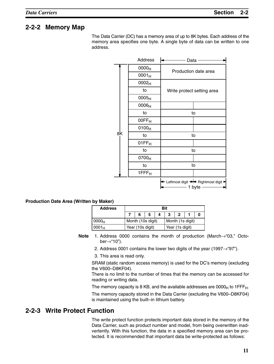### **2-2-2 Memory Map**

The Data Carrier (DC) has a memory area of up to 8K bytes. Each address of the memory area specifies one byte. A single byte of data can be written to one address.

|    | <b>Address</b>    | Data                                           |  |
|----|-------------------|------------------------------------------------|--|
|    | 0000 <sub>H</sub> | Production date area                           |  |
|    | $0001_H$          |                                                |  |
|    | 0002 <sub>H</sub> |                                                |  |
|    | to                | Write protect setting area                     |  |
|    | 0005 <sub>H</sub> |                                                |  |
|    | 0006 <sub>H</sub> |                                                |  |
|    | to                | to                                             |  |
|    | 00FF <sub>H</sub> |                                                |  |
|    | 0100 <sub>H</sub> |                                                |  |
| 8K | to                | to                                             |  |
|    | 01FF <sub>H</sub> |                                                |  |
|    | to                | to                                             |  |
|    | 0700 <sub>H</sub> |                                                |  |
|    | to                | to                                             |  |
|    | 1FFF <sub>H</sub> |                                                |  |
|    |                   | + Leftmost digit → Rightmost digit →<br>1 byte |  |

#### **Production Date Area (Written by Maker)**

| <b>Address</b>    | Bit               |   |  |  |                 |                  |  |  |
|-------------------|-------------------|---|--|--|-----------------|------------------|--|--|
|                   |                   | 6 |  |  | 2               |                  |  |  |
| 0000 <sub>H</sub> | Month (10s digit) |   |  |  |                 | Month (1s digit) |  |  |
| 0001 <sub>H</sub> | Year (10s digit)  |   |  |  | Year (1s digit) |                  |  |  |

- **Note** 1. Address 0000 contains the month of production (March→"03," October→"10").
	- 2. Address 0001 contains the lower two digits of the year (1997 $\rightarrow$ "97").
	- 3. This area is read only.

SRAM (static random access memory) is used for the DC's memory (excluding the V600–D8KF04).

There is no limit to the number of times that the memory can be accessed for reading or writing data.

The memory capacity is 8 KB, and the available addresses are  $0000_H$  to 1FFF $_H$ .

The memory capacity stored in the Data Carrier (excluding the V600–D8KF04) is maintained using the built–in lithium battery.

### **2-2-3 Write Protect Function**

The write protect function protects important data stored in the memory of the Data Carrier, such as product number and model, from being overwritten inadvertently. With this function, the data in a specified memory area can be protected. It is recommended that important data be write-protected as follows: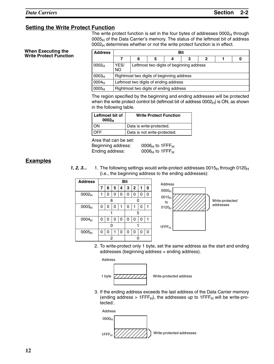### **Setting the Write Protect Function**

The write protect function is set in the four bytes of addresses  $0002<sub>H</sub>$  through  $0005<sub>H</sub>$  of the Data Carrier's memory. The status of the leftmost bit of address  $0002_H$  determines whether or not the write protect function is in effect.

#### **When Executing the Write Protect Function**

| <b>Address</b>    |                   | Bit                                       |   |  |   |   |  |  |
|-------------------|-------------------|-------------------------------------------|---|--|---|---|--|--|
|                   |                   | 6                                         | 5 |  | 3 | 2 |  |  |
| 0002 <sub>H</sub> | YES/<br><b>NO</b> | Leftmost two digits of beginning address  |   |  |   |   |  |  |
| 0003 <sub>H</sub> |                   | Rightmost two digits of beginning address |   |  |   |   |  |  |
| 0004 <sub>H</sub> |                   | Leftmost two digits of ending address     |   |  |   |   |  |  |
| 0005 <sub>H</sub> |                   | Rightmost two digits of ending address    |   |  |   |   |  |  |

The region specified by the beginning and ending addresses will be protected when the write protect control bit (leftmost bit of address  $0002_H$ ) is ON, as shown in the following table.

| Leftmost bit of<br>0002 <sub>H</sub> | <b>Write Protect Function</b> |
|--------------------------------------|-------------------------------|
| KC                                   | Data is write-protected.      |
|                                      | Data is not write-protected.  |

Area that can be set:

Beginning address: 0006<sub>H</sub> to 1FFF<sub>H</sub><br>Ending address: 0006<sub>H</sub> to 1FFF<sub>H</sub>  $0006_H$  to 1FFF $_H$ 

### **Examples**

**1, 2, 3...** 1. The following settings would write-protect addresses 0015 $_H$  through 0120 $_H$ (i.e., the beginning address to the ending addresses):

| <b>Address</b>    | <b>Bit</b> |   |   |   |   |                |   |   |
|-------------------|------------|---|---|---|---|----------------|---|---|
|                   | 7          | 6 | 5 | 4 | 3 | $\overline{2}$ | 1 | 0 |
| 0002 <sub>H</sub> |            | 0 | 0 | 0 | 0 | 0              | 0 | 0 |
|                   |            | 8 |   |   |   | n              |   |   |
| 0003 <sub>H</sub> | 0          | 0 | 0 | 1 | 0 | 1              | 0 |   |
|                   |            |   |   | 5 |   |                |   |   |
| 0004 <sub>H</sub> | 0          | 0 | 0 | 0 | 0 | 0              | 0 |   |
|                   | ი          |   |   |   |   |                |   |   |
| 0005 <sub>H</sub> | ი          | 0 |   | O | 0 | 0              | 0 | 0 |
|                   |            | 2 |   |   |   |                |   |   |



2. To write-protect only 1 byte, set the same address as the start and ending addresses (beginning address = ending address).

Address



3. If the ending address exceeds the last address of the Data Carrier memory (ending address > 1FFF $_H$ ), the addresses up to 1FFF $_H$  will be write-protected:.

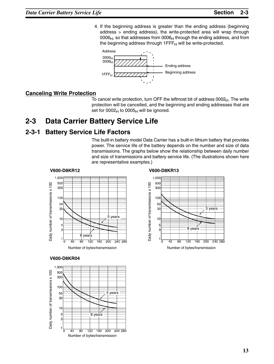4. If the beginning address is greater than the ending address (beginning address > ending address), the write-protected area will wrap through  $0006<sub>H</sub>$ , so that addresses from  $0006<sub>H</sub>$  through the ending address, and from the beginning address through  $1$ FFF $H$  will be write-protected.



### **Canceling Write Protection**

To cancel write protection, turn OFF the leftmost bit of address  $0002<sub>H</sub>$ . The write protection will be cancelled, and the beginning and ending addresses that are set for  $0002_H$  to  $0005_H$  will be ignored.

### **2-3 Data Carrier Battery Service Life**

### **2-3-1 Battery Service Life Factors**

The built-in battery model Data Carrier has a built-in lithium battery that provides power. The service life of the battery depends on the number and size of data transmissions. The graphs below show the relationship between daily number and size of transmissions and battery service life. (The illustrations shown here are representative examples.)



#### 1,000 500  $\overline{100}$ Daily number of transmissions x 100 300 Daily number of transmissions x 100 50 30 5 years  $10$ 5 3 8 years  $1\frac{1}{0}$  $\frac{1}{80}$  $\frac{1}{120}$  $\overline{160}$  $\overline{200}$ 240 280 40



Number of bytes/transmission

 $160, 200$ 

 $240,280$ 

 $\frac{1}{20}$ 

**RO** 

 $40$ 

### **V600-D8KR04**

Daily number of transmissions x 100

Daily number of transmissions x 100



**V600-D8KR13**



Number of bytes/transmission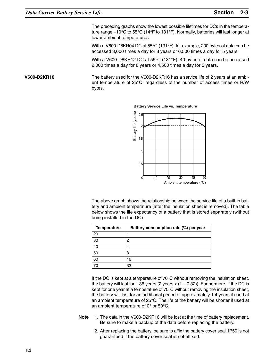The preceding graphs show the lowest possible lifetimes for DCs in the temperature range –10°C to 55°C (14°F to 131°F). Normally, batteries will last longer at lower ambient temperatures.

With a V600-D8KR04 DC at 55°C (131°F), for example, 200 bytes of data can be accessed 3,000 times a day for 8 years or 6,500 times a day for 5 years.

With a V600-D8KR12 DC at 55°C (131°F), 40 bytes of data can be accessed 2,000 times a day for 8 years or 4,500 times a day for 5 years.

The battery used for the V600-D2KR16 has a service life of 2 years at an ambient temperature of 25°C, regardless of the number of access times or R/W bytes. **V600-D2KR16**



#### **Battery Service Life vs. Temperature**

The above graph shows the relationship between the service life of a built-in battery and ambient temperature (after the insulation sheet is removed). The table below shows the life expectancy of a battery that is stored separately (without being installed in the DC).

| <b>Temperature</b> | Battery consumption rate (%) per year |
|--------------------|---------------------------------------|
| 20                 |                                       |
| 30                 | 2                                     |
| 40                 | 4                                     |
| 50                 | 8                                     |
| 60                 | 16                                    |
|                    | 32                                    |

If the DC is kept at a temperature of 70°C without removing the insulation sheet, the battery will last for 1.36 years (2 years  $x(1 - 0.32)$ ). Furthermore, if the DC is kept for one year at a temperature of 70°C without removing the insulation sheet, the battery will last for an additional period of approximately 1.4 years if used at an ambient temperature of 25°C. The life of the battery will be shorter if used at an ambient temperature of 0° or 50°C.

- **Note** 1. The data in the V600-D2KR16 will be lost at the time of battery replacement. Be sure to make a backup of the data before replacing the battery.
	- 2. After replacing the battery, be sure to affix the battery cover seal. IP50 is not guaranteed if the battery cover seal is not affixed.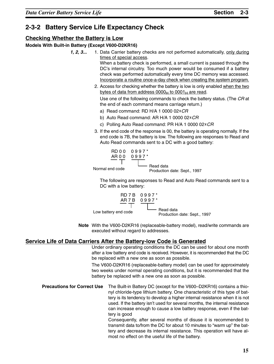### **2-3-2 Battery Service Life Expectancy Check**

### **Checking Whether the Battery is Low**

#### **Models With Built-in Battery (Except V600-D2KR16)**

- **1, 2, 3...** 1. Data Carrier battery checks are not performed automatically, only during times of special access. When a battery check is performed, a small current is passed through the DC's internal circuitry. Too much power would be consumed if a battery check was performed automatically every time DC memory was accessed. Incorporate a routine once-a-day check when creating the system program.
	- 2. Access for checking whether the battery is low is only enabled when the two bytes of data from address  $0000_H$  to  $0001_H$  are read. Use one of the following commands to check the battery status. (The *CR* at the end of each command means carriage return.)
		- a) Read command: RD H/A 1 0000 02 $*$ *CR*
		- b) Auto Read command: AR H/A 1 0000 02 $*$ *CR*
		- c) Polling Auto Read command: PR H/A 1 0000 02 $*$ *CR*
	- 3. If the end code of the response is 00, the battery is operating normally. If the end code is 7B, the battery is low. The following are responses to Read and Auto Read commands sent to a DC with a good battery:



The following are responses to Read and Auto Read commands sent to a DC with a low battery:



**Note** With the V600-D2KR16 (replaceable-battery model), read/write commands are executed without regard to addresses.

### **Service Life of Data Carriers After the Battery-low Code is Generated**

Under ordinary operating conditions the DC can be used for about one month after a low battery end code is received. However, it is recommended that the DC be replaced with a new one as soon as possible.

The V600-D2KR16 (replaceable-battery model) can be used for approximately two weeks under normal operating conditions, but it is recommended that the battery be replaced with a new one as soon as possible.

**Precautions for Correct Use** The Built-in Battery DC (except for the V600–D2KR16) contains a thionyl chloride-type lithium battery. One characteristic of this type of battery is its tendency to develop a higher internal resistance when it is not used. If the battery isn't used for several months, the internal resistance can increase enough to cause a low battery response, even if the battery is good Consequently, after several months of disuse it is recommended to

transmit data to/from the DC for about 10 minutes to "warm up" the battery and decrease its internal resistance. This operation will have almost no effect on the useful life of the battery.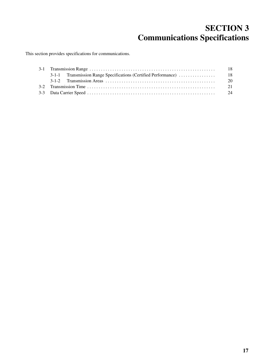# **SECTION 3 Communications Specifications**

This section provides specifications for communications.

|  | -18  |
|--|------|
|  |      |
|  | - 20 |
|  | 21   |
|  | - 24 |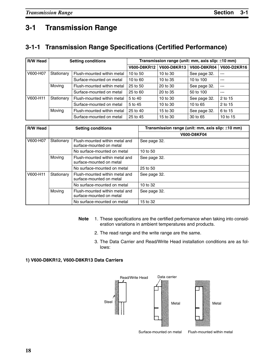# **3-1 Transmission Range**

### **3-1-1 Transmission Range Specifications (Certified Performance)**

| R/W Head | <b>Setting conditions</b> |                            | Transmission range (unit: mm, axis slip: $\pm$ 10 mm) |             |                    |             |  |  |
|----------|---------------------------|----------------------------|-------------------------------------------------------|-------------|--------------------|-------------|--|--|
|          |                           |                            | V600-D8KR12                                           | V600-D8KR13 | <b>V600-D8KR04</b> | V600-D2KR16 |  |  |
| V600-H07 | Stationary                | Flush-mounted within metal | 10 to 50                                              | 10 to 30    | See page 32.       | $- - -$     |  |  |
|          |                           | Surface-mounted on metal   | 10 to 60                                              | 10 to 35    | 10 to 100          | $---$       |  |  |
|          | Moving                    | Flush-mounted within metal | 25 to 50                                              | 20 to 30    | See page 32.       | $---$       |  |  |
|          |                           | Surface-mounted on metal   | 25 to 60                                              | 20 to 35    | 50 to 100          | $---$       |  |  |
| V600-H11 | Stationary                | Flush-mounted within metal | 5 to 40                                               | 10 to 30    | See page 32.       | 2 to 15     |  |  |
|          |                           | Surface-mounted on metal   | 5 to 45                                               | 10 to 30    | 10 to 65           | 2 to 15     |  |  |
|          | Moving                    | Flush-mounted within metal | 25 to 40                                              | 15 to 30    | See page 32.       | 6 to 15     |  |  |
|          |                           | Surface-mounted on metal   | 25 to 45                                              | 15 to 30    | 30 to 65           | 10 to 15    |  |  |

| <b>R/W Head</b> |            | <b>Setting conditions</b>                                  | Transmission range (unit: mm, axis slip: ±10 mm) |
|-----------------|------------|------------------------------------------------------------|--------------------------------------------------|
|                 |            |                                                            | <b>V600-D8KF04</b>                               |
| V600-H07        | Stationary | Flush-mounted within metal and<br>surface-mounted on metal | See page 32.                                     |
|                 |            | No surface-mounted on metal                                | 10 to 50                                         |
|                 | Moving     | Flush-mounted within metal and<br>surface-mounted on metal | See page 32.                                     |
|                 |            | No surface-mounted on metal                                | 25 to 50                                         |
| V600-H11        | Stationary | Flush-mounted within metal and<br>surface-mounted on metal | See page 32.                                     |
|                 |            | No surface-mounted on metal                                | 10 to 32                                         |
|                 | Moving     | Flush-mounted within metal and<br>surface-mounted on metal | See page 32.                                     |
|                 |            | No surface-mounted on metal                                | 15 to 32                                         |

- **Note** 1. These specifications are the certified performance when taking into consideration variations in ambient temperatures and products.
	- 2. The read range and the write range are the same.
	- 3. The Data Carrier and Read/Write Head installation conditions are as follows:

#### **1) V600-D8KR12, V600-D8KR13 Data Carriers**



Surface-mounted on metal Flush-mounted within metal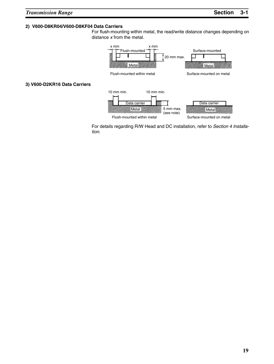### **2) V600-D8KR04/V600-D8KF04 Data Carriers**

For flush-mounting within metal, the read/write distance changes depending on distance *x* from the metal.



Flush-mounted within metal

Surface-mounted on metal

For details regarding R/W Head and DC installation, refer to *Section 4 Installation*.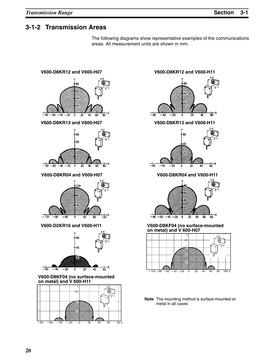### **3-1-2 Transmission Areas**

The following diagrams show representative examples of the communications areas. All measurement units are shown in mm.





**Note** The mounting method is surface-mounted on metal in all cases.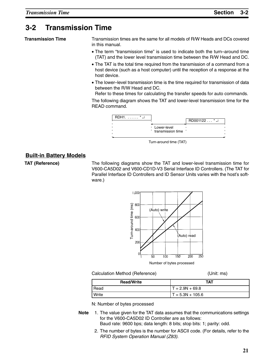### **3-2 Transmission Time**

**Transmission Time**

Transmission times are the same for all models of R/W Heads and DCs covered in this manual.

- The term "transmission time" is used to indicate both the turn–around time (TAT) and the lower level transmission time between the R/W Head and DC.
- The TAT is the total time required from the transmission of a command from a host device (such as a host computer) until the reception of a response at the host device.
- The lower–level transmission time is the time required for transmission of data between the R/W Head and DC.

Refer to these times for calculating the transfer speeds for auto commands.

The following diagram shows the TAT and lower-level transmission time for the READ command.



Turn-around time (TAT)

### **Built-in Battery Models**

**TAT (Reference)**

The following diagrams show the TAT and lower-level transmission time for V600-CA5D02 and V600-CD1D-V3 Serial Interface ID Controllers. (The TAT for Parallel Interface ID Controllers and ID Sensor Units varies with the host's software.)



Number of bytes processed

| Calculation Method (Reference |  |  |
|-------------------------------|--|--|
|-------------------------------|--|--|

(Unit: ms)

| <b>Read/Write</b> | TAT                |
|-------------------|--------------------|
| Read              | $T = 2.9N + 69.8$  |
| Write             | $T = 5.3N + 105.6$ |

N: Number of bytes processed

- **Note** 1. The value given for the TAT data assumes that the communications settings for the V600-CA5D02 ID Controller are as follows: Baud rate: 9600 bps; data length: 8 bits; stop bits: 1; parity: odd.
	- 2. The number of bytes is the number for ASCII code. (For details, refer to the *RFID System Operation Manual (Z83)*.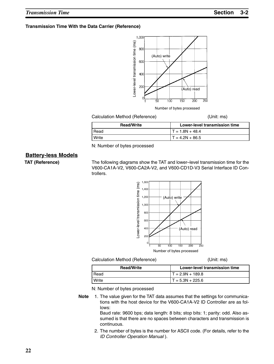#### **Transmission Time With the Data Carrier (Reference)**



Number of bytes processed

#### Calculation Method (Reference) (Unit: ms)

| <b>Read/Write</b> | Lower-level transmission time |
|-------------------|-------------------------------|
| Read              | $T = 1.8N + 48.4$             |
| Write             | $T = 4.2N + 86.5$             |

N: Number of bytes processed

### **Battery-less Models**

**TAT (Reference)**

The following diagrams show the TAT and lower–level transmission time for the V600-CA1A-V2, V600-CA2A-V2, and V600-CD1D-V3 Serial Interface ID Controllers.



#### Calculation Method (Reference) (Unit: ms)

| <b>Read/Write</b> | Lower-level transmission time |
|-------------------|-------------------------------|
| Read              | $T = 2.9N + 189.8$            |
| Write             | $T = 5.3N + 225.6$            |

N: Number of bytes processed

**Note** 1. The value given for the TAT data assumes that the settings for communications with the host device for the V600-CA1A-V2 ID Controller are as follows:

Baud rate: 9600 bps; data length: 8 bits; stop bits: 1; parity: odd. Also assumed is that there are no spaces between characters and transmission is continuous.

2. The number of bytes is the number for ASCII code. (For details, refer to the *ID Controller Operation Manual* ).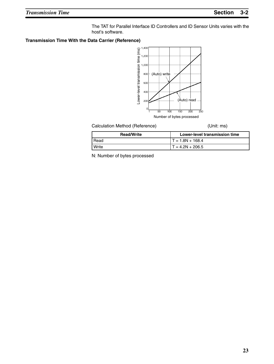The TAT for Parallel Interface ID Controllers and ID Sensor Units varies with the host's software.

#### **Transmission Time With the Data Carrier (Reference)**



Calculation Method (Reference) (Unit: ms)

| <b>Read/Write</b> | Lower-level transmission time |  |  |
|-------------------|-------------------------------|--|--|
| Read              | $T = 1.8N + 168.4$            |  |  |
| Write             | $T = 4.2N + 206.5$            |  |  |

N: Number of bytes processed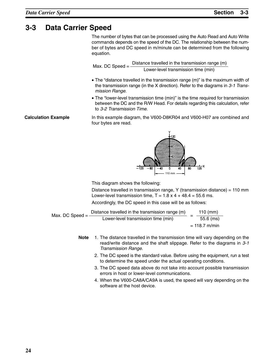### **3-3 Data Carrier Speed**

The number of bytes that can be processed using the Auto Read and Auto Write commands depends on the speed of the DC. The relationship between the number of bytes and DC speed in m/minute can be determined from the following equation.

Max. DC Speed =  $\frac{\text{Distance travelled in the transmission range (m)}}{\text{mean (m)}}$ Lower-level transmission time (min)

- The "distance travelled in the transmission range (m)" is the maximum width of the transmission range (in the X direction). Refer to the diagrams in *3-1 Transmission Range*.
- The "lower-level transmission time (min)" is the time required for transmission between the DC and the R/W Head. For details regarding this calculation, refer to *3-2 Transmission Time*.

In this example diagram, the V600-D8KR04 and V600-H07 are combined and four bytes are read.



Distance travelled in transmission range, Y (transmission distance) = 110 mm Lower-level transmission time,  $T = 1.8 \times 4 + 48.4 = 55.6$  ms.

Accordingly, the DC speed in this case will be as follows:

| Max. DC Speed $=$ | Distance travelled in the transmission range (m) |  | 110 $(mm)$      |
|-------------------|--------------------------------------------------|--|-----------------|
|                   | Lower-level transmission time (min)              |  | $55.6$ (ms)     |
|                   |                                                  |  | $= 118.7$ m/min |

- **Note** 1. The distance travelled in the transmission time will vary depending on the read/write distance and the shaft slippage. Refer to the diagrams in *3-1 Transmission Range*.
	- 2. The DC speed is the standard value. Before using the equipment, run a test to determine the speed under the actual operating conditions.
	- 3. The DC speed data above do not take into account possible transmission errors in host or lower-level communications.
	- 4. When the V600-CA8A/CA9A is used, the speed will vary depending on the software at the host device.

**Calculation Example**

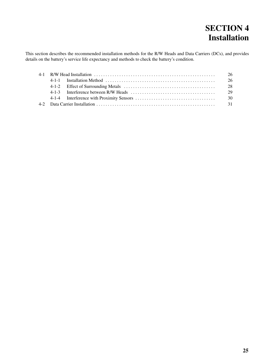# **SECTION 4 Installation**

This section describes the recommended installation methods for the R/W Heads and Data Carriers (DCs), and provides details on the battery's service life expectancy and methods to check the battery's condition.

|  | 26   |
|--|------|
|  | 26   |
|  | 28   |
|  | 29   |
|  | - 30 |
|  |      |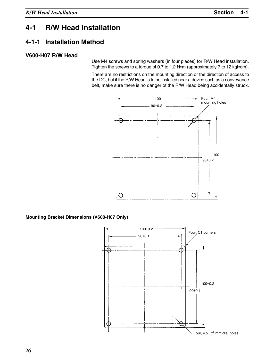### **4-1 R/W Head Installation**

### **4-1-1 Installation Method**

### **V600-H07 R/W Head**

Use M4 screws and spring washers (in four places) for R/W Head installation. Tighten the screws to a torque of 0.7 to 1.2 N•m (approximately 7 to 12 kgf•cm).

There are no restrictions on the mounting direction or the direction of access to the DC, but if the R/W Head is to be installed near a device such as a conveyance belt, make sure there is no danger of the R/W Head being accidentally struck.



**Mounting Bracket Dimensions (V600-H07 Only)**

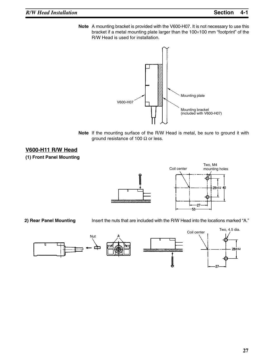**Note** A mounting bracket is provided with the V600-H07. It is not necessary to use this bracket if a metal mounting plate larger than the 100×100 mm "footprint" of the R/W Head is used for installation.



**Note** If the mounting surface of the R/W Head is metal, be sure to ground it with ground resistance of 100  $\Omega$  or less.

### **V600-H11 R/W Head**

### **(1) Front Panel Mounting**





**2) Rear Panel Mounting**

Insert the nuts that are included with the R/W Head into the locations marked "A."

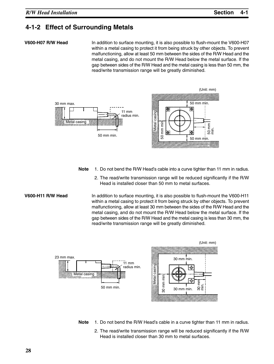### **4-1-2 Effect of Surrounding Metals**

#### **V600-H07 R/W Head**

In addition to surface mounting, it is also possible to flush-mount the V600-H07 within a metal casing to protect it from being struck by other objects. To prevent malfunctioning, allow at least 50 mm between the sides of the R/W Head and the metal casing, and do not mount the R/W Head below the metal surface. If the gap between sides of the R/W Head and the metal casing is less than 50 mm, the read/write transmission range will be greatly diminished.



- **Note** 1. Do not bend the R/W Head's cable into a curve tighter than 11 mm in radius.
	- 2. The read/write transmission range will be reduced significantly if the R/W Head is installed closer than 50 mm to metal surfaces.

#### **V600-H11 R/W Head**

In addition to surface mounting, it is also possible to flush-mount the V600-H11 within a metal casing to protect it from being struck by other objects. To prevent malfunctioning, allow at least 30 mm between the sides of the R/W Head and the metal casing, and do not mount the R/W Head below the metal surface. If the gap between sides of the R/W Head and the metal casing is less than 30 mm, the read/write transmission range will be greatly diminished.



- **Note** 1. Do not bend the R/W Head's cable in a curve tighter than 11 mm in radius.
	- 2. The read/write transmission range will be reduced significantly if the R/W Head is installed closer than 30 mm to metal surfaces.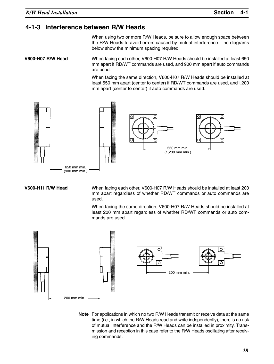### **4-1-3 Interference between R/W Heads**

When using two or more R/W Heads, be sure to allow enough space between the R/W Heads to avoid errors caused by mutual interference. The diagrams below show the minimum spacing required.

When facing each other, V600-H07 R/W Heads should be installed at least 650 mm apart if RD/WT commands are used, and 900 mm apart if auto commands are used. **V600-H07 R/W Head**

> When facing the same direction, V600-H07 R/W Heads should be installed at least 550 mm apart (center to center) if RD/WT commands are used, and1,200 mm apart (center to center) if auto commands are used.



#### **V600-H11 R/W Head**

When facing each other, V600-H07 R/W Heads should be installed at least 200 mm apart regardless of whether RD/WT commands or auto commands are used.

When facing the same direction, V600-H07 R/W Heads should be installed at least 200 mm apart regardless of whether RD/WT commands or auto commands are used.



**Note** For applications in which no two R/W Heads transmit or receive data at the same time (i.e., in which the R/W Heads read and write independently), there is no risk of mutual interference and the R/W Heads can be installed in proximity. Transmission and reception in this case refer to the R/W Heads oscillating after receiving commands.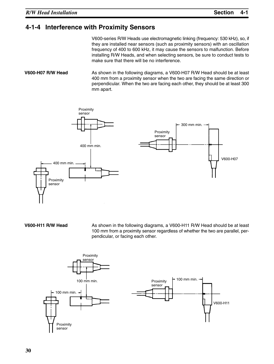### **4-1-4 Interference with Proximity Sensors**

V600-series R/W Heads use electromagnetic linking (frequency: 530 kHz), so, if they are installed near sensors (such as proximity sensors) with an oscillation frequency of 400 to 600 kHz, it may cause the sensors to malfunction. Before installing R/W Heads, and when selecting sensors, be sure to conduct tests to make sure that there will be no interference.

As shown in the following diagrams, a V600-H07 R/W Head should be at least 400 mm from a proximity sensor when the two are facing the same direction or perpendicular. When the two are facing each other, they should be at least 300 mm apart. **V600-H07 R/W Head**



**V600-H11 R/W Head**

As shown in the following diagrams, a V600-H11 R/W Head should be at least 100 mm from a proximity sensor regardless of whether the two are parallel, perpendicular, or facing each other.

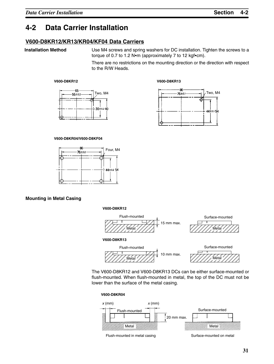### **4-2 Data Carrier Installation**

### **V600-D8KR12/KR13/KR04/KF04 Data Carriers**

### **Installation Method**

Use M4 screws and spring washers for DC installation. Tighten the screws to a torque of 0.7 to 1.2 N•m (approximately 7 to 12 kgf•cm).

There are no restrictions on the mounting direction or the direction with respect to the R/W Heads.

#### **V600-D8KR12 V600-D8KR13**





#### **V600-D8KR04/V600-D8KF04**



#### **Mounting in Metal Casing**

#### **V600-D8KR12**



The V600-D8KR12 and V600-D8KR13 DCs can be either surface-mounted or flush-mounted. When flush-mounted in metal, the top of the DC must not be lower than the surface of the metal casing.

**V600-D8KR04**

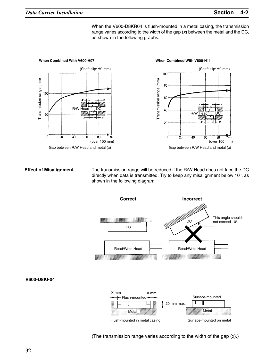When the V600-D8KR04 is flush-mounted in a metal casing, the transmission range varies according to the width of the gap (*x*) between the metal and the DC, as shown in the following graphs.



#### **Effect of Misalignment**

The transmission range will be reduced if the R/W Head does not face the DC directly when data is transmitted. Try to keep any misalignment below 10°, as shown in the following diagram.



(The transmission range varies according to the width of the gap (x).)

**V600-D8KF04**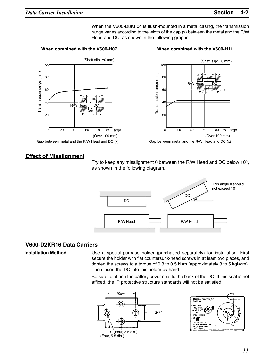When the V600-D8KF04 is flush-mounted in a metal casing, the transmission range varies according to the width of the gap (x) between the metal and the R/W Head and DC, as shown in the following graphs.







Gap between metal and the R/W Head and DC (x)

### **Effect of Misalignment**

Try to keep any misalignment  $\theta$  between the R/W Head and DC below 10 $^{\circ}$ , as shown in the following diagram.



### **V600-D2KR16 Data Carriers**

**Installation Method**

Use a special-purpose holder (purchased separately) for installation. First secure the holder with flat countersunk-head screws in at least two places, and tighten the screws to a torque of 0.3 to 0.5 N•m (approximately 3 to 5 kgf•cm). Then insert the DC into this holder by hand.

Be sure to attach the battery cover seal to the back of the DC. If this seal is not affixed, the IP protective structure standards will not be satisfied.



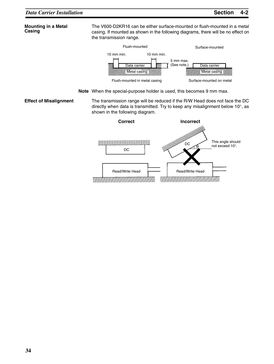#### **Mounting in a Metal Casing**

The V600-D2KR16 can be either surface-mounted or flush-mounted in a metal casing. If mounted as shown in the following diagrams, there will be no effect on the transmission range.



**Note** When the special-purpose holder is used, this becomes 9 mm max.

The transmission range will be reduced if the R/W Head does not face the DC directly when data is transmitted. Try to keep any misalignment below 10°, as shown in the following diagram. **Effect of Misalignment**

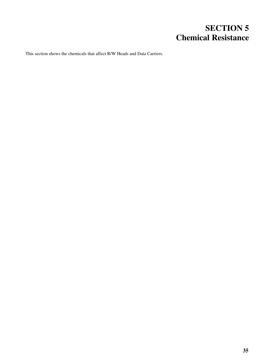# **SECTION 5 Chemical Resistance**

This section shows the chemicals that affect R/W Heads and Data Carriers.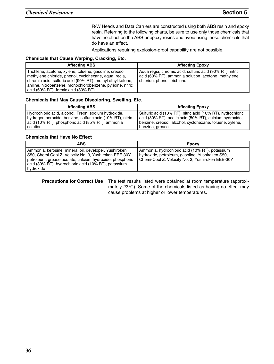R/W Heads and Data Carriers are constructed using both ABS resin and epoxy resin. Referring to the following charts, be sure to use only those chemicals that have no effect on the ABS or epoxy resins and avoid using those chemicals that do have an effect.

Applications requiring explosion-proof capability are not possible.

#### **Chemicals that Cause Warping, Cracking, Etc.**

| <b>Affecting ABS</b>                                                                                                                                                                                                                                                                | <b>Affecting Epoxy</b>                                                                                                                         |
|-------------------------------------------------------------------------------------------------------------------------------------------------------------------------------------------------------------------------------------------------------------------------------------|------------------------------------------------------------------------------------------------------------------------------------------------|
| Trichlene, acetone, xylene, toluene, gasoline, creosol,<br>methylene chloride, phenol, cyclohexane, aqua, regia,<br>chromic acid, sulfuric acid (90% RT), methyl ethyl ketone,<br>aniline, nitrobenzene, monochlorobenzene, pyridine, nitric<br>acid (60% RT), formic acid (80% RT) | Agua regia, chromic acid, sulfuric acid (90% RT), nitric<br>acid (60% RT), ammonia solution, acetone, methylene<br>chloride, phenol, trichlene |

#### **Chemicals that May Cause Discoloring, Swelling, Etc.**

| <b>Affecting ABS</b>                                       | <b>Affecting Epoxy</b>                                     |
|------------------------------------------------------------|------------------------------------------------------------|
| Hydrochloric acid, alcohol, Freon, sodium hydroxide,       | Sulfuric acid (10% RT), nitric acid (10% RT), hydrochloric |
| hydrogen peroxide, benzine, sulfuric acid (10% RT), nitric | acid (30% RT), acetic acid (50% RT), calcium hydroxide,    |
| acid (10% RT), phosphoric acid (85% RT), ammonia           | benzine, creosol, alcohol, cyclohexane, toluene, xylene,   |
| solution                                                   | benzine, grease                                            |

#### **Chemicals that Have No Effect**

| <b>ABS</b>                                                                                                                                                                                                                                       | Epoxy                                                                                                                                                 |
|--------------------------------------------------------------------------------------------------------------------------------------------------------------------------------------------------------------------------------------------------|-------------------------------------------------------------------------------------------------------------------------------------------------------|
| Ammonia, kerosine, mineral oil, developer, Yushiroken<br>S50, Chemi-Cool Z, Velocity No. 3, Yushiroken EEE-30Y,<br>petroleum, grease acetate, calcium hydroxide, phosphoric<br>acid (30% RT), hydrochloric acid (10% RT), potassium<br>hydroxide | Ammonia, hydrochloric acid (10% RT), potassium<br>hydroxide, petroleum, gasoline, Yushiroken S50,<br>Chemi-Cool Z, Velocity No. 3, Yushiroken EEE-30Y |

**Precautions for Correct Use** The test results listed were obtained at room temperature (approximately 23°C). Some of the chemicals listed as having no effect may cause problems at higher or lower temperatures.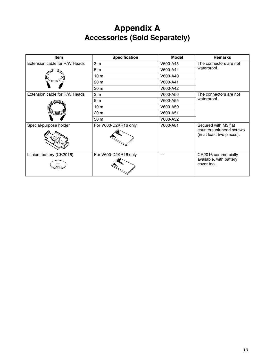# **Appendix A Accessories (Sold Separately)**

| Item                          | <b>Specification</b> | <b>Model</b> | <b>Remarks</b>                                                               |
|-------------------------------|----------------------|--------------|------------------------------------------------------------------------------|
| Extension cable for R/W Heads | 3 <sub>m</sub>       | V600-A45     | The connectors are not                                                       |
|                               | 5m                   | V600-A44     | waterproof.                                                                  |
|                               | 10 <sub>m</sub>      | V600-A40     |                                                                              |
|                               | 20 m                 | V600-A41     |                                                                              |
|                               | 30 m                 | V600-A42     |                                                                              |
| Extension cable for R/W Heads | 3 <sub>m</sub>       | V600-A56     | The connectors are not                                                       |
|                               | 5 <sub>m</sub>       | V600-A55     | waterproof.                                                                  |
|                               | 10 <sub>m</sub>      | V600-A50     |                                                                              |
|                               | 20 m                 | V600-A51     |                                                                              |
|                               | 30 m                 | V600-A52     |                                                                              |
| Special-purpose holder        | For V600-D2KR16 only | V600-A81     | Secured with M3 flat<br>countersunk-head screws<br>(in at least two places). |
| Lithium battery (CR2016)      | For V600-D2KR16 only |              | CR2016 commercially<br>available, with battery<br>cover tool.                |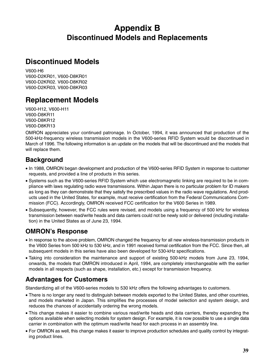# **Appendix B Discontinued Models and Replacements**

### **Discontinued Models**

V600-H6 V600-D2KR01, V600-D8KR01 V600-D2KR02. V600-D8KR02 V600-D2KR03, V600-D8KR03

## **Replacement Models**

V600-H12, V600-H11 V600-D8KR11 V600-D8KR12 V600-D8KR13

OMRON appreciates your continued patronage. In October, 1994, it was announced that production of the 500-kHz-frequency wireless transmission models in the V600-series RFID System would be discontinued in March of 1996. The following information is an update on the models that will be discontinued and the models that will replace them.

### **Background**

- In 1988, OMRON began development and production of the V600-series RFID System in response to customer requests, and provided a line of products in this series.
- Systems such as the V600-series RFID System which use electromagnetic linking are required to be in compliance with laws regulating radio wave transmissions. Within Japan there is no particular problem for ID makers as long as they can demonstrate that they satisfy the prescribed values in the radio wave regulations. And products used in the United States, for example, must receive certification from the Federal Communications Commission (FCC). Accordingly, OMRON received FCC certification for the V600 Series in 1989.
- Subsequently, however, the FCC rules were revised, and models using a frequency of 500 kHz for wireless transmission between read/write heads and data carriers could not be newly sold or delivered (including installation) in the United States as of June 23, 1994.

### **OMRON's Response**

- In response to the above problem, OMRON changed the frequency for all new wireless-transmission products in the V600 Series from 500 kHz to 530 kHz, and in 1991 received formal certification from the FCC. Since then, all subsequent models in this series have also been developed for 530-kHz specifications.
- Taking into consideration the maintenance and support of existing 500-kHz models from June 23, 1994, onwards, the models that OMRON introduced in April, 1994, are completely interchangeable with the earlier models in all respects (such as shape, installation, etc.) except for transmission frequency.

### **Advantages for Customers**

Standardizing all of the V600-series models to 530 kHz offers the following advantages to customers.

- There is no longer any need to distinguish between models exported to the United States, and other countries, and models marketed in Japan. This simplifies the processes of model selection and system design, and reduces the chances of accidentally ordering the wrong models.
- This change makes it easier to combine various read/write heads and data carriers, thereby expanding the options available when selecting models for system design. For example, it is now possible to use a single data carrier in combination with the optimum read/write head for each process in an assembly line.
- For OMRON as well, this change makes it easier to improve production schedules and quality control by integrating product lines.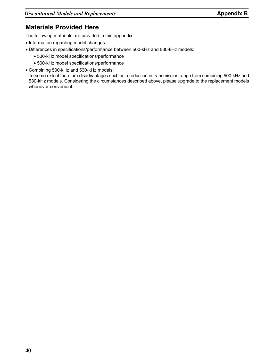### **Materials Provided Here**

The following materials are provided in this appendix:

- Information regarding model changes
- Differences in specifications/performance between 500-kHz and 530-kHz models:
	- 530-kHz model specifications/performance
	- 500-kHz model specifications/performance
- Combining 500-kHz and 530-kHz models:

To some extent there are disadvantages such as a reduction in transmission range from combining 500-kHz and 530-kHz models. Considering the circumstances described above, please upgrade to the replacement models whenever convenient.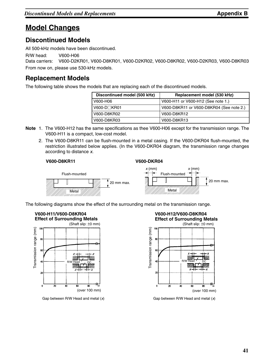### **Model Changes**

### **Discontinued Models**

All 500-kHz models have been discontinued.

R/W head: V600-H06

Data carriers: V600-D2KR01, V600-D8KR01, V600-D2KR02, V600-D8KR02, V600-D2KR03, V600-D8KR03 From now on, please use 530-kHz models.

### **Replacement Models**

The following table shows the models that are replacing each of the discontinued models.

| Discontinued model (500 kHz) | Replacement model (530 kHz)              |
|------------------------------|------------------------------------------|
| V600-H06                     | V600-H11 or V600-H12 (See note 1.)       |
| $V600-D\n\neg$ KR01          | V600-D8KR11 or V600-D8KR04 (See note 2.) |
| V600-D8KR02                  | V600-D8KR12                              |
| V600-D8KR03                  | V600-D8KR13                              |

- **Note** 1. The V600-H12 has the same specifications as thee V600-H06 except for the transmission range. The V600-H11 is a compact, low-cost model.
	- 2. The V600-D8KR11 can be flush-mounted in a metal casing. If the V600-DKR04 flush-mounted, the restriction illustrated below applies. (In the V600-DKR04 diagram, the transmission range changes according to distance *x*.

#### **V600-D8KR11**

#### **V600-DKR04**



The following diagrams show the effect of the surrounding metal on the transmission range.



Gap between R/W Head and metal (*x*) Gap between R/W Head and metal (*x*)

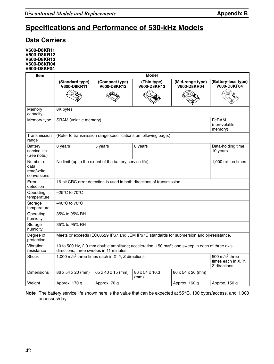# **Specifications and Performance of 530-kHz Models**

### **Data Carriers**

**V600-D8KR11 V600-D8KR12 V600-D8KR13 V600-D8KR04 V600-D8KF04**

| <b>Item</b>                                    | <b>Model</b>                                                                                                                                          |                                                                 |                                                                                           |                                        |                                    |  |
|------------------------------------------------|-------------------------------------------------------------------------------------------------------------------------------------------------------|-----------------------------------------------------------------|-------------------------------------------------------------------------------------------|----------------------------------------|------------------------------------|--|
|                                                | (Standard type)<br>V600-D8KR11                                                                                                                        | (Compact type)<br>V600-D8KR12                                   | (Thin type)<br><b>V600-D8KR13</b>                                                         | (Mid-range type)<br><b>V600-D8KR04</b> | (Battery-less type)<br>V600-D8KF04 |  |
|                                                |                                                                                                                                                       |                                                                 |                                                                                           |                                        |                                    |  |
| Memory<br>capacity                             | 8K bytes                                                                                                                                              |                                                                 |                                                                                           |                                        |                                    |  |
| Memory type                                    | SRAM (volatile memory)                                                                                                                                |                                                                 |                                                                                           |                                        | FeRAM<br>(non-volatile<br>memory)  |  |
| Transmission<br>range                          |                                                                                                                                                       | (Refer to transmission range specifications on following page.) |                                                                                           |                                        |                                    |  |
| Battery<br>service life<br>(See note.)         | 8 years                                                                                                                                               | Data-holding time:<br>10 years                                  |                                                                                           |                                        |                                    |  |
| Number of<br>data<br>read/write<br>conversions | No limit (up to the extent of the battery service life).<br>1,000 million times                                                                       |                                                                 |                                                                                           |                                        |                                    |  |
| Error<br>detection                             | 16-bit CRC error detection is used in both directions of transmission.                                                                                |                                                                 |                                                                                           |                                        |                                    |  |
| Operating<br>temperature                       | –25°C to 70°C                                                                                                                                         |                                                                 |                                                                                           |                                        |                                    |  |
| Storage<br>temperature                         | $-40^{\circ}$ C to 70 $^{\circ}$ C                                                                                                                    |                                                                 |                                                                                           |                                        |                                    |  |
| Operating<br>humidity                          | 35% to 95% RH                                                                                                                                         |                                                                 |                                                                                           |                                        |                                    |  |
| Storage<br>humidity                            | 35% to 95% RH                                                                                                                                         |                                                                 |                                                                                           |                                        |                                    |  |
| Degree of<br>protection                        |                                                                                                                                                       |                                                                 | Meets or exceeds IEC60529 IP67 and JEM IP67G standards for submersion and oil-resistance. |                                        |                                    |  |
| Vibration<br>resistance                        | 10 to 500 Hz, 2.0-mm double amplitude; acceleration: 150 m/s <sup>2</sup> ; one sweep in each of three axis<br>directions, three sweeps in 11 minutes |                                                                 |                                                                                           |                                        |                                    |  |
| Shock                                          | 1,000 m/s <sup>2</sup> three times each in X, Y, Z directions<br>500 $m/s2$ three<br>times each in X, Y,<br>Z directions                              |                                                                 |                                                                                           |                                        |                                    |  |
| <b>Dimensions</b>                              | 86 x 54 x 20 (mm)                                                                                                                                     | 65 x 40 x 15 (mm)                                               | 86 x 54 x 10.3<br>(mm)                                                                    | 86 x 54 x 20 (mm)                      |                                    |  |
| Weight                                         | Approx. 170 g                                                                                                                                         | Approx. 70 g                                                    |                                                                                           | Approx. 160 g                          | Approx. 150 g                      |  |

Note The battery service life shown here is the value that can be expected at 55°C, 100 bytes/access, and 1,000 accesses/day.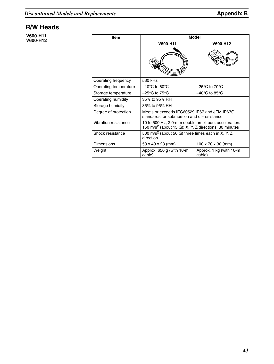### **R/W Heads**

**V600-H11 V600-H12**

| <b>Item</b>           | Model                                                                                                                     |                                    |  |  |
|-----------------------|---------------------------------------------------------------------------------------------------------------------------|------------------------------------|--|--|
|                       | V600-H11                                                                                                                  | V600-H12                           |  |  |
|                       |                                                                                                                           |                                    |  |  |
| Operating frequency   | 530 kHz                                                                                                                   |                                    |  |  |
| Operating temperature | $-10^{\circ}$ C to 60 $^{\circ}$ C                                                                                        | $-25^{\circ}$ C to 70 $^{\circ}$ C |  |  |
| Storage temperature   | –25°C to 75°C                                                                                                             | –40°C to 85°C                      |  |  |
| Operating humidity    | 35% to 95% RH                                                                                                             |                                    |  |  |
| Storage humidity      | 35% to 95% RH                                                                                                             |                                    |  |  |
| Degree of protection  | Meets or exceeds IEC60529 IP67 and JEM IP67G<br>standards for submersion and oil-resistance.                              |                                    |  |  |
| Vibration resistance  | 10 to 500 Hz, 2.0-mm double amplitude; acceleration:<br>150 m/s <sup>2</sup> (about 15 G); X, Y, Z directions, 30 minutes |                                    |  |  |
| Shock resistance      | 500 m/s <sup>2</sup> (about 50 G) three times each in X, Y, Z<br>direction                                                |                                    |  |  |
| <b>Dimensions</b>     | 53 x 40 x 23 (mm)                                                                                                         | $100 \times 70 \times 30$ (mm)     |  |  |
| Weight                | Approx. $650$ g (with 10-m)<br>cable)                                                                                     | Approx. 1 kg (with 10-m<br>cable)  |  |  |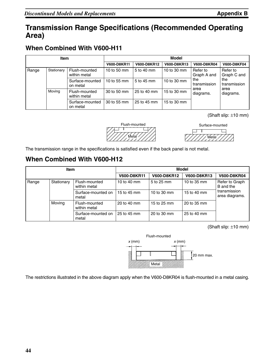### **Transmission Range Specifications (Recommended Operating Area)**

### **When Combined With V600-H11**

| <b>Item</b> |            | Model                         |             |             |             |                                                               |                         |
|-------------|------------|-------------------------------|-------------|-------------|-------------|---------------------------------------------------------------|-------------------------|
|             |            | V600-D8KR11                   | V600-D8KR12 | V600-D8KR13 | V600-D8KR04 | V600-D8KF04                                                   |                         |
| Range       | Stationary | Flush-mounted<br>within metal | 10 to 50 mm | 5 to 40 mm  | 10 to 30 mm | Refer to<br>Graph A and                                       | Refer to<br>Graph C and |
|             |            | Surface-mounted<br>on metal   | 10 to 55 mm | 5 to 45 mm  | 10 to 30 mm | the<br>transmission<br>area<br>area<br>diagrams.<br>diagrams. | the<br>transmission     |
|             | Moving     | Flush-mounted<br>within metal | 30 to 50 mm | 25 to 40 mm | 15 to 30 mm |                                                               |                         |
|             |            | Surface-mounted<br>on metal   | 30 to 55 mm | 25 to 45 mm | 15 to 30 mm |                                                               |                         |

(Shaft slip: ±10 mm)





The transmission range in the specifications is satisfied even if the back panel is not metal.

### **When Combined With V600-H12**

| Item  |            |                               | Model              |             |             |                                |
|-------|------------|-------------------------------|--------------------|-------------|-------------|--------------------------------|
|       |            |                               | <b>V600-D8KR11</b> | V600-D8KR12 | V600-D8KR13 | <b>V600-D8KR04</b>             |
| Range | Stationary | Flush-mounted<br>within metal | 10 to 40 mm        | 5 to 25 mm  | 10 to 35 mm | Refer to Graph<br>B and the    |
|       |            | Surface-mounted on<br>metal   | 15 to 45 mm        | 10 to 30 mm | 15 to 40 mm | transmission<br>area diagrams. |
|       | Moving     | Flush-mounted<br>within metal | 20 to 40 mm        | 15 to 25 mm | 20 to 35 mm |                                |
|       |            | Surface-mounted on<br>metal   | 25 to 45 mm        | 20 to 30 mm | 25 to 40 mm |                                |

(Shaft slip: ±10 mm)



The restrictions illustrated in the above diagram apply when the V600-D8KR04 is flush-mounted in a metal casing.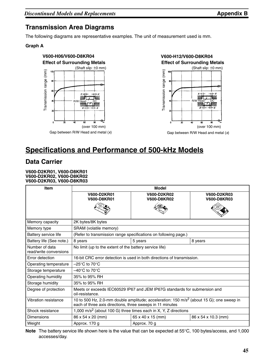### **Transmission Area Diagrams**

The following diagrams are representative examples. The unit of measurement used is mm.

### **Graph A**



# **Specifications and Performance of 500-kHz Models**

### **Data Carrier**

**V600-D2KR01, V600-D8KR01 V600-D2KR02, V600-D8KR02 V600-D2KR03, V600-D8KR03**

| <b>Item</b>                              |                                                                                                                                                                   | <b>Model</b>                                                    |                                   |  |  |
|------------------------------------------|-------------------------------------------------------------------------------------------------------------------------------------------------------------------|-----------------------------------------------------------------|-----------------------------------|--|--|
|                                          | <b>V600-D2KR01</b><br><b>V600-D8KR01</b>                                                                                                                          | <b>V600-D2KR02</b><br><b>V600-D8KR02</b>                        | V600-D2KR03<br><b>V600-D8KR03</b> |  |  |
|                                          |                                                                                                                                                                   |                                                                 |                                   |  |  |
| Memory capacity                          | 2K bytes/8K bytes                                                                                                                                                 |                                                                 |                                   |  |  |
| Memory type                              | SRAM (volatile memory)                                                                                                                                            |                                                                 |                                   |  |  |
| Battery service life                     |                                                                                                                                                                   | (Refer to transmission range specifications on following page.) |                                   |  |  |
| Battery life (See note.)                 | 8 years                                                                                                                                                           | 5 years                                                         | 8 years                           |  |  |
| Number of data<br>read/write conversions | No limit (up to the extent of the battery service life)                                                                                                           |                                                                 |                                   |  |  |
| Error detection                          | 16-bit CRC error detection is used in both directions of transmission.                                                                                            |                                                                 |                                   |  |  |
| Operating temperature                    | $-25^{\circ}$ C to 70 $^{\circ}$ C                                                                                                                                |                                                                 |                                   |  |  |
| Storage temperature                      | $-40^{\circ}$ C to 70 $^{\circ}$ C                                                                                                                                |                                                                 |                                   |  |  |
| Operating humidity                       | 35% to 95% RH                                                                                                                                                     |                                                                 |                                   |  |  |
| Storage humidity                         | 35% to 95% RH                                                                                                                                                     |                                                                 |                                   |  |  |
| Degree of protection                     | Meets or exceeds IEC60529 IP67 and JEM IP67G standards for submersion and<br>oil-resistance.                                                                      |                                                                 |                                   |  |  |
| Vibration resistance                     | 10 to 500 Hz, 2.0-mm double amplitude; acceleration: 150 m/s <sup>2</sup> (about 15 G); one sweep in<br>each of three axis directions, three sweeps in 11 minutes |                                                                 |                                   |  |  |
| Shock resistance                         | 1,000 m/s <sup>2</sup> (about 100 G) three times each in X, Y, Z directions                                                                                       |                                                                 |                                   |  |  |
| <b>Dimensions</b>                        | 86 x 54 x 20 (mm)<br>65 x 40 x 15 (mm)<br>86 x 54 x 10.3 (mm)                                                                                                     |                                                                 |                                   |  |  |
| Weight                                   | Approx. 170 g                                                                                                                                                     |                                                                 | Approx. 70 g                      |  |  |

**Note** The battery service life shown here is the value that can be expected at 55°C, 100 bytes/access, and 1,000 accesses/day.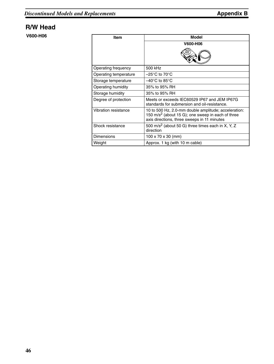### **R/W Head**

**V600-H06**

| <b>Item</b>           | Model                                                                                                                                                                |
|-----------------------|----------------------------------------------------------------------------------------------------------------------------------------------------------------------|
|                       | V600-H06                                                                                                                                                             |
|                       |                                                                                                                                                                      |
| Operating frequency   | 500 kHz                                                                                                                                                              |
| Operating temperature | $-25^{\circ}$ C to 70 $^{\circ}$ C                                                                                                                                   |
| Storage temperature   | $-40^{\circ}$ C to 85 $^{\circ}$ C                                                                                                                                   |
| Operating humidity    | 35% to 95% RH                                                                                                                                                        |
| Storage humidity      | 35% to 95% RH                                                                                                                                                        |
| Degree of protection  | Meets or exceeds IEC60529 IP67 and JEM IP67G<br>standards for submersion and oil-resistance.                                                                         |
| Vibration resistance  | 10 to 500 Hz, 2.0-mm double amplitude; acceleration:<br>150 m/s <sup>2</sup> (about 15 G); one sweep in each of three<br>axis directions, three sweeps in 11 minutes |
| Shock resistance      | 500 m/s <sup>2</sup> (about 50 G) three times each in X, Y, Z<br>direction                                                                                           |
| Dimensions            | 100 x 70 x 30 (mm)                                                                                                                                                   |
| Weight                | Approx. 1 kg (with 10 m cable)                                                                                                                                       |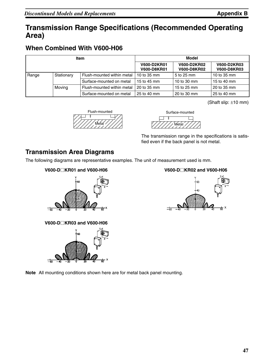## **Transmission Range Specifications (Recommended Operating Area)**

### **When Combined With V600-H06**

| <b>Item</b>              |            |                            | Model                             |                                   |                                          |
|--------------------------|------------|----------------------------|-----------------------------------|-----------------------------------|------------------------------------------|
|                          |            |                            | V600-D2KR01<br><b>V600-D8KR01</b> | V600-D2KR02<br><b>V600-D8KR02</b> | <b>V600-D2KR03</b><br><b>V600-D8KR03</b> |
| Range                    | Stationary | Flush-mounted within metal | 10 to $35 \text{ mm}$             | 5 to 25 mm                        | 10 to 35 mm                              |
|                          |            | Surface-mounted on metal   | 15 to 45 mm                       | 10 to 30 mm                       | 15 to 40 mm                              |
|                          | Moving     | Flush-mounted within metal | 20 to 35 mm                       | 15 to 25 mm                       | 20 to 35 mm                              |
| Surface-mounted on metal |            | 25 to 40 mm                | 20 to 30 mm                       | 25 to 40 mm                       |                                          |

(Shaft slip: ±10 mm)





The transmission range in the specifications is satisfied even if the back panel is not metal.

### **Transmission Area Diagrams**

The following diagrams are representative examples. The unit of measurement used is mm.





**V600-DKR03 and V600-H06**







**Note** All mounting conditions shown here are for metal back panel mounting.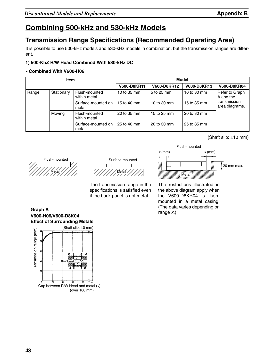## **Combining 500-kHz and 530-kHz Models**

### **Transmission Range Specifications (Recommended Operating Area)**

It is possible to use 500-kHz models and 530-kHz models in combination, but the transmission ranges are different.

### **1) 500-KhZ R/W Head Combined With 530-kHz DC**

### • **Combined With V600-H06**

| <b>Item</b>         |        |                               | Model       |             |             |                                |
|---------------------|--------|-------------------------------|-------------|-------------|-------------|--------------------------------|
|                     |        |                               | V600-D8KR11 | V600-D8KR12 | V600-D8KR13 | <b>V600-D8KR04</b>             |
| Stationary<br>Range |        | Flush-mounted<br>within metal | 10 to 35 mm | 5 to 25 mm  | 10 to 30 mm | Refer to Graph<br>A and the    |
|                     |        | Surface-mounted on<br>metal   | 15 to 40 mm | 10 to 30 mm | 15 to 35 mm | transmission<br>area diagrams. |
|                     | Moving | Flush-mounted<br>within metal | 20 to 35 mm | 15 to 25 mm | 20 to 30 mm |                                |
|                     |        | Surface-mounted on<br>metal   | 25 to 40 mm | 20 to 30 mm | 25 to 35 mm |                                |

(Shaft slip: ±10 mm)





The transmission range in the specifications is satisfied even if the back panel is not metal.



The restrictions illustrated in the above diagram apply when the V600-D8KR04 is flushmounted in a metal casing. (The data varies depending on range *x*.)

**V600-H06/V600-D8K04 Effect of Surrounding Metals Graph A**

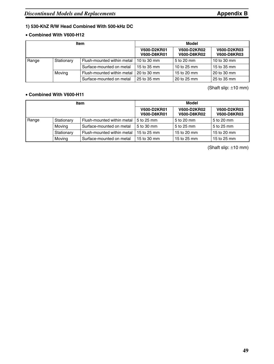### **1) 530-KhZ R/W Head Combined With 500-kHz DC**

#### • **Combined With V600-H12**

| <b>Item</b>                                                      |  |                            | Model                             |                                   |                                          |
|------------------------------------------------------------------|--|----------------------------|-----------------------------------|-----------------------------------|------------------------------------------|
|                                                                  |  |                            | V600-D2KR01<br><b>V600-D8KR01</b> | V600-D2KR02<br><b>V600-D8KR02</b> | <b>V600-D2KR03</b><br><b>V600-D8KR03</b> |
| Stationary<br>Range                                              |  | Flush-mounted within metal | 10 to 30 mm                       | l 5 to 20 mm                      | 10 to 30 mm                              |
|                                                                  |  | Surface-mounted on metal   | 15 to 35 mm                       | 10 to 25 mm                       | 15 to 35 mm                              |
| Moving<br>Flush-mounted within metal<br>Surface-mounted on metal |  | 20 to 30 mm                | 15 to 20 mm                       | 20 to 30 mm                       |                                          |
|                                                                  |  | 25 to 35 mm                | 20 to 25 mm                       | 25 to 35 mm                       |                                          |

(Shaft slip: ±10 mm)

#### • **Combined With V600-H11**

| <b>Item</b>                        |                                          |                            | Model                             |                                   |                                   |
|------------------------------------|------------------------------------------|----------------------------|-----------------------------------|-----------------------------------|-----------------------------------|
|                                    |                                          |                            | V600-D2KR01<br><b>V600-D8KR01</b> | V600-D2KR02<br><b>V600-D8KR02</b> | V600-D2KR03<br><b>V600-D8KR03</b> |
| Range                              | Flush-mounted within metal<br>Stationary |                            | 5 to 25 mm                        | 5 to 20 mm                        | 5 to 20 mm                        |
| Movina<br>Surface-mounted on metal |                                          | 5 to 30 mm                 | 5 to 25 mm                        | 5 to 25 mm                        |                                   |
|                                    | Stationary                               | Flush-mounted within metal | 15 to 25 mm                       | 15 to 20 mm                       | 15 to 20 mm                       |
| Moving<br>Surface-mounted on metal |                                          | 15 to 30 mm                | 15 to 25 mm                       | 15 to 25 mm                       |                                   |

(Shaft slip: ±10 mm)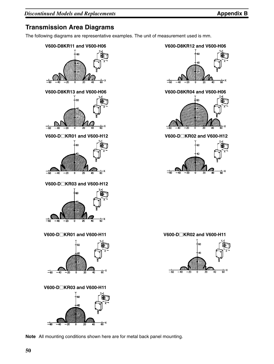### **Transmission Area Diagrams**

The following diagrams are representative examples. The unit of measurement used is mm.







**V600-DKR03 and V600-H12**





**V600-DKR03 and V600-H11**



**Note** All mounting conditions shown here are for metal back panel mounting.



**V600-DKR01 and V600-H12 V600-DKR02 and V600-H12**



**V600-DKR01 and V600-H11 V600-DKR02 and V600-H11**

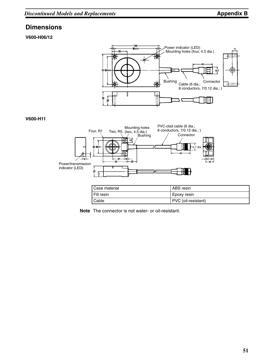### **Dimensions**

**V600-H06/12**



#### **V600-H11**



| Case material | ABS resin           |
|---------------|---------------------|
| Fill resin    | Epoxy resin         |
| Cable         | PVC (oil-resistant) |

**Note** The connector is not water- or oil-resistant.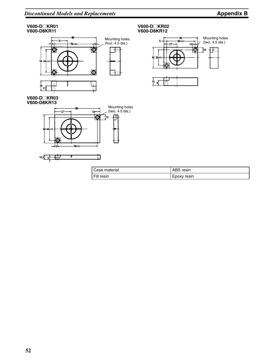#### **V600-DKR01 V600-D8KR11**



#### **V600-DKR03 V600-D8KR13**







| Case material | ABS resin   |
|---------------|-------------|
| Fill resin    | Epoxy resin |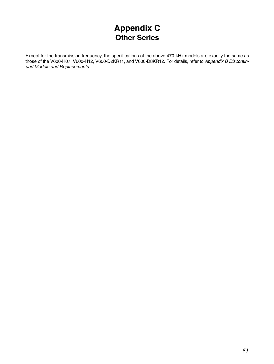# **Appendix C Other Series**

Except for the transmission frequency, the specifications of the above 470-kHz models are exactly the same as those of the V600-H07, V600-H12, V600-D2KR11, and V600-D8KR12. For details, refer to *Appendix B Discontinued Models and Replacements*.